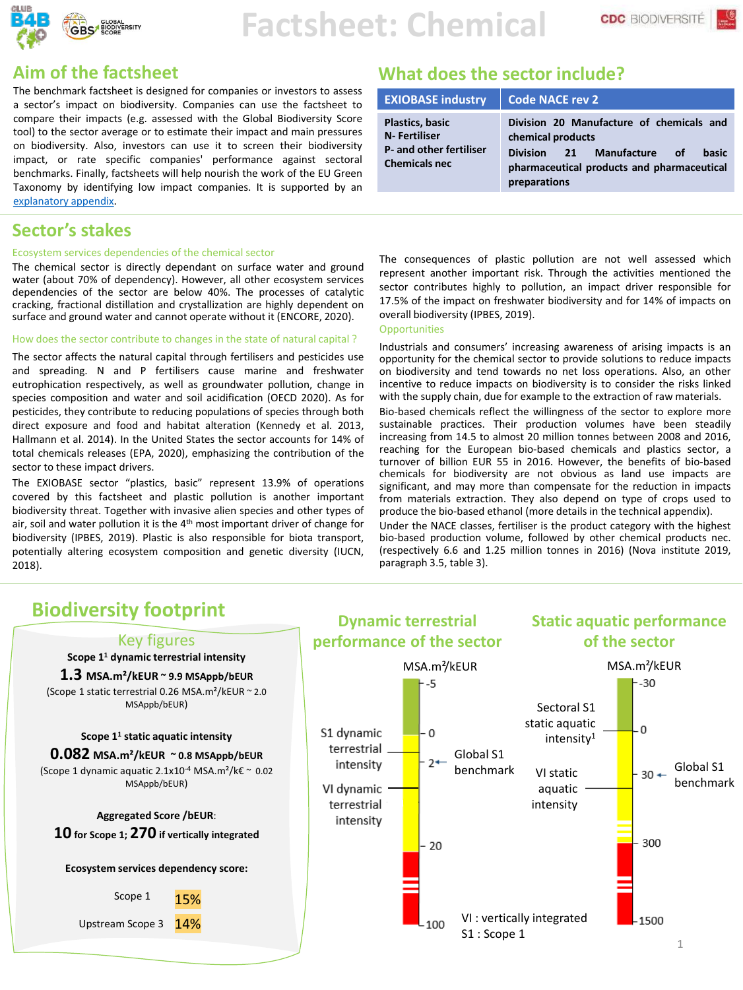

The benchmark factsheet is designed for companies or investors to assess a sector's impact on biodiversity. Companies can use the factsheet to compare their impacts (e.g. assessed with the Global Biodiversity Score tool) to the sector average or to estimate their impact and main pressures on biodiversity. Also, investors can use it to screen their biodiversity impact, or rate specific companies' performance against sectoral benchmarks. Finally, factsheets will help nourish the work of the EU Green Taxonomy by identifying low impact companies. It is supported by an [explanatory](https://www.mission-economie-biodiversite.com/downloads/benchmark-factsheet-technical-annex/) appendix.

#### **Sector's stakes**

#### Ecosystem services dependencies of the chemical sector

The chemical sector is directly dependant on surface water and ground water (about 70% of dependency). However, all other ecosystem services dependencies of the sector are below 40%. The processes of catalytic cracking, fractional distillation and crystallization are highly dependent on surface and ground water and cannot operate without it (ENCORE, 2020).

#### How does the sector contribute to changes in the state of natural capital ?

The sector affects the natural capital through fertilisers and pesticides use and spreading. N and P fertilisers cause marine and freshwater eutrophication respectively, as well as groundwater pollution, change in species composition and water and soil acidification (OECD 2020). As for pesticides, they contribute to reducing populations of species through both direct exposure and food and habitat alteration (Kennedy et al. 2013, Hallmann et al. 2014). In the United States the sector accounts for 14% of total chemicals releases (EPA, 2020), emphasizing the contribution of the sector to these impact drivers.

The EXIOBASE sector "plastics, basic" represent 13.9% of operations covered by this factsheet and plastic pollution is another important biodiversity threat. Together with invasive alien species and other types of air, soil and water pollution it is the 4<sup>th</sup> most important driver of change for biodiversity (IPBES, 2019). Plastic is also responsible for biota transport, potentially altering ecosystem composition and genetic diversity (IUCN, 2018).

#### **Aim of the factsheet What does the sector include?**

| <b>EXIOBASE industry</b>                                                                                 | Code NACE rev 2                                                                                                                                                              |
|----------------------------------------------------------------------------------------------------------|------------------------------------------------------------------------------------------------------------------------------------------------------------------------------|
| <b>Plastics, basic</b><br><b>N-Fertiliser</b><br><b>P</b> - and other fertiliser<br><b>Chemicals nec</b> | Division 20 Manufacture of chemicals and<br>chemical products<br><b>Division</b><br>21 Manufacture of<br>basic<br>pharmaceutical products and pharmaceutical<br>preparations |

The consequences of plastic pollution are not well assessed which represent another important risk. Through the activities mentioned the sector contributes highly to pollution, an impact driver responsible for 17.5% of the impact on freshwater biodiversity and for 14% of impacts on overall biodiversity (IPBES, 2019).

#### **Opportunities**

Industrials and consumers' increasing awareness of arising impacts is an opportunity for the chemical sector to provide solutions to reduce impacts on biodiversity and tend towards no net loss operations. Also, an other incentive to reduce impacts on biodiversity is to consider the risks linked with the supply chain, due for example to the extraction of raw materials.

Bio-based chemicals reflect the willingness of the sector to explore more sustainable practices. Their production volumes have been steadily increasing from 14.5 to almost 20 million tonnes between 2008 and 2016, reaching for the European bio-based chemicals and plastics sector, a turnover of billion EUR 55 in 2016. However, the benefits of bio-based chemicals for biodiversity are not obvious as land use impacts are significant, and may more than compensate for the reduction in impacts from materials extraction. They also depend on type of crops used to produce the bio-based ethanol (more details in the technical appendix).

Under the NACE classes, fertiliser is the product category with the highest bio-based production volume, followed by other chemical products nec. (respectively 6.6 and 1.25 million tonnes in 2016) (Nova institute 2019, paragraph 3.5, table 3).

#### **Dynamic terrestrial Static aquatic performance**  Key figures **performance of the sector of the sector Scope 1<sup>1</sup> dynamic terrestrial intensity**  MSA.m<sup>2</sup>/kEUR MSA.m<sup>2</sup>/kEUR **1.3 MSA.m²/kEUR ~ 9.9 MSAppb/bEUR**  $-30$  $-5$ (Scope 1 static terrestrial 0.26 MSA.m²/kEUR ~ 2.0 MSAppb/bEUR) Sectoral S1 static aquatic  $-0$ S1 dynamic  $-0$ **Scope 1<sup>1</sup> static aquatic intensity** intensity<sup>1</sup> terrestrial **0.082 MSA.m²/kEUR ~ 0.8 MSAppb/bEUR** Global S1 benchmark VI static  $\begin{array}{|c|c|c|c|c|}\n\hline & & & \\\hline & & & \\\hline & & & \\\hline\end{array}$  Global S1  $2+$ intensity (Scope 1 dynamic aquatic 2.1x10-4 MSA.m²/k€ ~ 0.02 VI static benchmark MSAppb/bEUR) VI dynamic aquatic intensity terrestrial **Aggregated Score /bEUR**: intensity **10 for Scope 1; 270 if vertically integrate<sup>d</sup>** 300  $-20$ **Ecosystem services dependency score:** Scope 1 27% 15% VI : vertically integrated  $-1500$ Upstream Scope 3 14%  $-100$ S1 : Scope 1 1

## **Biodiversity footprint**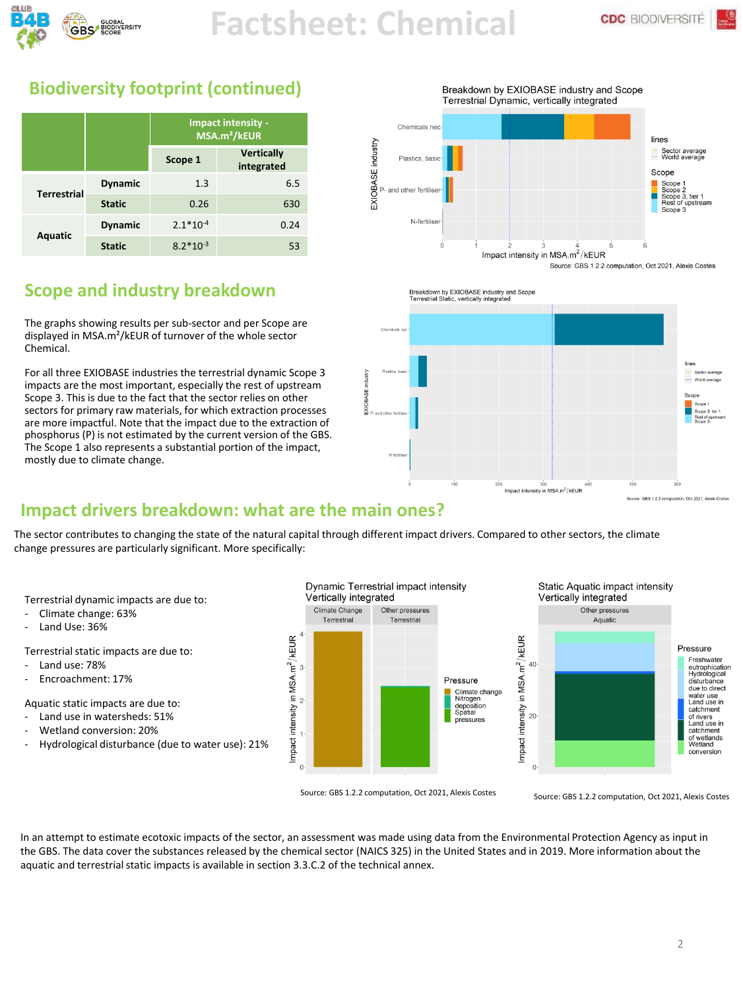

 $\frac{6}{2}$ 

## **Biodiversity footprint (continued)**

|                    |                | <b>Impact intensity -</b><br>MSA.m <sup>2</sup> /kEUR |                                 |
|--------------------|----------------|-------------------------------------------------------|---------------------------------|
|                    |                | Scope 1                                               | <b>Vertically</b><br>integrated |
| <b>Terrestrial</b> | <b>Dynamic</b> | 1.3                                                   | 6.5                             |
|                    | <b>Static</b>  | 0.26                                                  | 630                             |
| <b>Aquatic</b>     | <b>Dynamic</b> | $2.1*10-4$                                            | 0.24                            |
|                    | <b>Static</b>  | $8.2*10^{-3}$                                         | 53                              |

## **Scope and industry breakdown**

The graphs showing results per sub-sector and per Scope are displayed in MSA.m²/kEUR of turnover of the whole sector Chemical.

For all three EXIOBASE industries the terrestrial dynamic Scope 3 impacts are the most important, especially the rest of upstream Scope 3. This is due to the fact that the sector relies on other sectors for primary raw materials, for which extraction processes are more impactful. Note that the impact due to the extraction of phosphorus (P) is not estimated by the current version of the GBS. The Scope 1 also represents a substantial portion of the impact, mostly due to climate change.



Breakdown by EXIOBASE industry and Scope Terrestrial Static, vertically integrated



## **Impact drivers breakdown: what are the main ones?**

The sector contributes to changing the state of the natural capital through different impact drivers. Compared to other sectors, the climate change pressures are particularly significant. More specifically:

Terrestrial dynamic impacts are due to:

- Climate change: 63%
- Land Use: 36%

Terrestrial static impacts are due to:

- Land use: 78%
- Encroachment: 17%

Aquatic static impacts are due to:

- Land use in watersheds: 51%
- Wetland conversion: 20%
- Hydrological disturbance (due to water use): 21%



Source: GBS 1.2.2 computation, Oct 2021, Alexis Costes Source: GBS 1.2.2 computation, Oct 2021, Alexis Costes

In an attempt to estimate ecotoxic impacts of the sector, an assessment was made using data from the Environmental Protection Agency as input in the GBS. The data cover the substances released by the chemical sector (NAICS 325) in the United States and in 2019. More information about the aquatic and terrestrial static impacts is available in section 3.3.C.2 of the technical annex.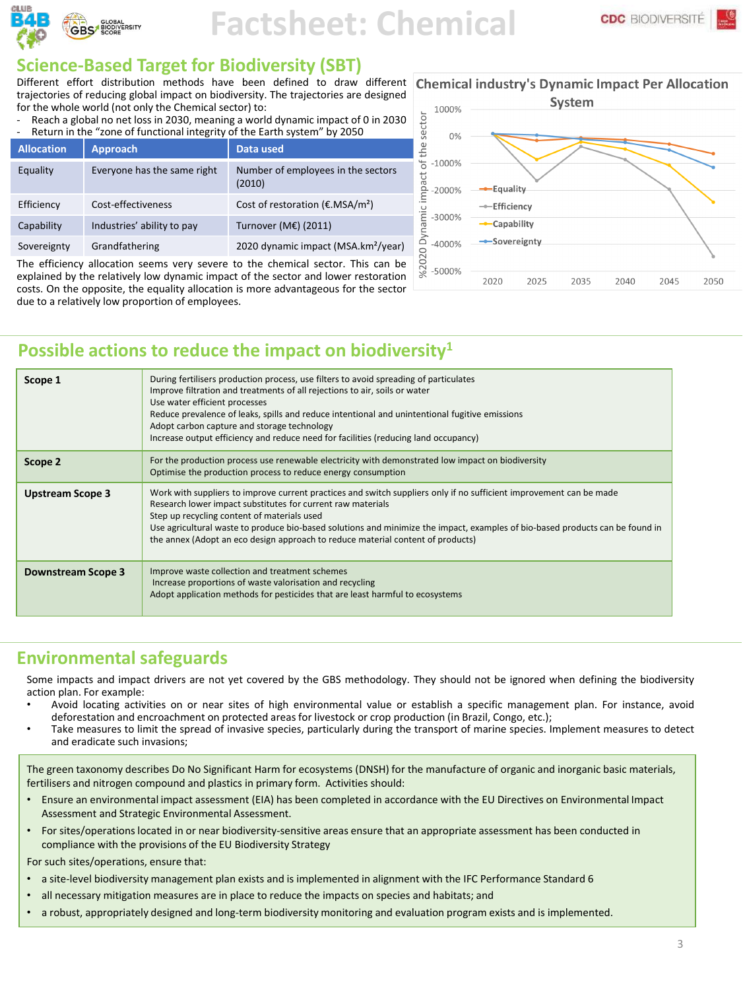

#### **Science-Based Target for Biodiversity (SBT)**

Different effort distribution methods have been defined to draw different Chemical industry's Dynamic Impact Per Allocation trajectories of reducing global impact on biodiversity. The trajectories are designed for the whole world (not only the Chemical sector) to:

Reach a global no net loss in 2030, meaning a world dynamic impact of 0 in 2030 Return in the "zone of functional integrity of the Earth system" by 2050

| <b>Allocation</b>                                                               | <b>Approach</b>             | Data used                                              |  |  |
|---------------------------------------------------------------------------------|-----------------------------|--------------------------------------------------------|--|--|
| Equality                                                                        | Everyone has the same right | Number of employees in the sectors<br>(2010)           |  |  |
| Efficiency                                                                      | Cost-effectiveness          | Cost of restoration ( $\epsilon$ .MSA/m <sup>2</sup> ) |  |  |
| Capability                                                                      | Industries' ability to pay  | Turnover (M€) (2011)                                   |  |  |
| Sovereignty                                                                     | Grandfathering              | 2020 dynamic impact (MSA.km <sup>2</sup> /year)        |  |  |
| The efficiency allocation seems very severe to the chemical sector. This can be |                             |                                                        |  |  |

The efficiency allocation seems very severe to the chemical sector. This can be explained by the relatively low dynamic impact of the sector and lower restoration costs. On the opposite, the equality allocation is more advantageous for the sector due to a relatively low proportion of employees.



#### **Possible actions to reduce the impact on biodiversity<sup>1</sup>**

| Scope 1                 | During fertilisers production process, use filters to avoid spreading of particulates<br>Improve filtration and treatments of all rejections to air, soils or water<br>Use water efficient processes<br>Reduce prevalence of leaks, spills and reduce intentional and unintentional fugitive emissions<br>Adopt carbon capture and storage technology<br>Increase output efficiency and reduce need for facilities (reducing land occupancy)          |
|-------------------------|-------------------------------------------------------------------------------------------------------------------------------------------------------------------------------------------------------------------------------------------------------------------------------------------------------------------------------------------------------------------------------------------------------------------------------------------------------|
| Scope 2                 | For the production process use renewable electricity with demonstrated low impact on biodiversity<br>Optimise the production process to reduce energy consumption                                                                                                                                                                                                                                                                                     |
| <b>Upstream Scope 3</b> | Work with suppliers to improve current practices and switch suppliers only if no sufficient improvement can be made<br>Research lower impact substitutes for current raw materials<br>Step up recycling content of materials used<br>Use agricultural waste to produce bio-based solutions and minimize the impact, examples of bio-based products can be found in<br>the annex (Adopt an eco design approach to reduce material content of products) |
| Downstream Scope 3      | Improve waste collection and treatment schemes<br>Increase proportions of waste valorisation and recycling<br>Adopt application methods for pesticides that are least harmful to ecosystems                                                                                                                                                                                                                                                           |

#### **Environmental safeguards**

Some impacts and impact drivers are not yet covered by the GBS methodology. They should not be ignored when defining the biodiversity action plan. For example:

- Avoid locating activities on or near sites of high environmental value or establish a specific management plan. For instance, avoid deforestation and encroachment on protected areas for livestock or crop production (in Brazil, Congo, etc.);
- Take measures to limit the spread of invasive species, particularly during the transport of marine species. Implement measures to detect and eradicate such invasions;

The green taxonomy describes Do No Significant Harm for ecosystems (DNSH) for the manufacture of organic and inorganic basic materials, fertilisers and nitrogen compound and plastics in primary form. Activities should:

- Ensure an environmental impact assessment (EIA) has been completed in accordance with the EU Directives on Environmental Impact Assessment and Strategic Environmental Assessment.
- For sites/operations located in or near biodiversity-sensitive areas ensure that an appropriate assessment has been conducted in compliance with the provisions of the EU Biodiversity Strategy

For such sites/operations, ensure that:

- a site-level biodiversity management plan exists and is implemented in alignment with the IFC Performance Standard 6
- all necessary mitigation measures are in place to reduce the impacts on species and habitats; and
- a robust, appropriately designed and long-term biodiversity monitoring and evaluation program exists and is implemented.